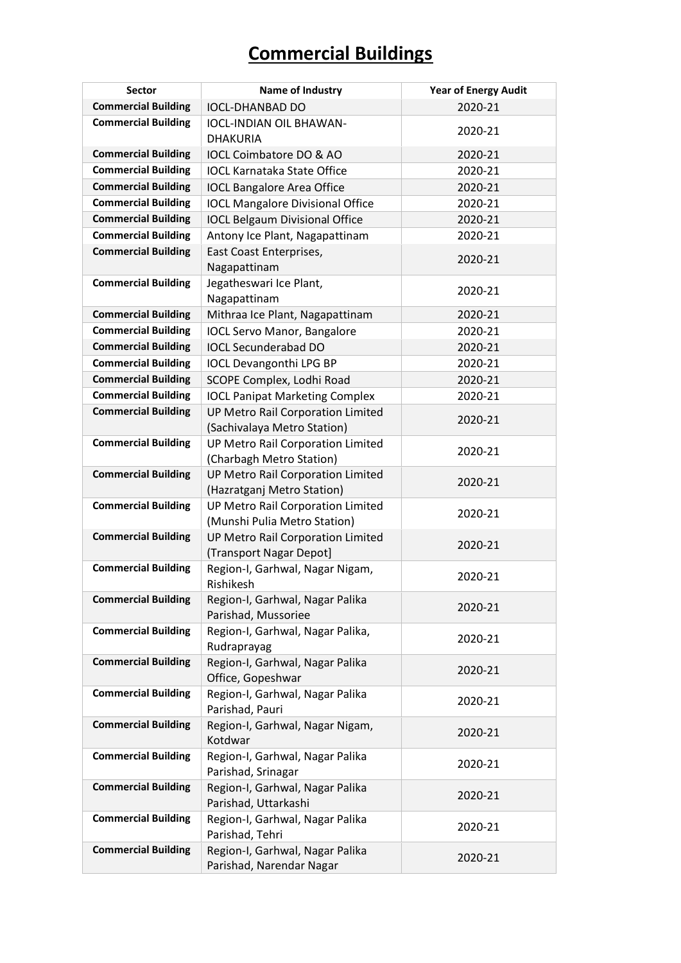| <b>Sector</b>              | Name of Industry                                                       | <b>Year of Energy Audit</b> |
|----------------------------|------------------------------------------------------------------------|-----------------------------|
| <b>Commercial Building</b> | <b>IOCL-DHANBAD DO</b>                                                 | 2020-21                     |
| <b>Commercial Building</b> | <b>IOCL-INDIAN OIL BHAWAN-</b>                                         | 2020-21                     |
|                            | <b>DHAKURIA</b>                                                        |                             |
| <b>Commercial Building</b> | IOCL Coimbatore DO & AO                                                | 2020-21                     |
| <b>Commercial Building</b> | <b>IOCL Karnataka State Office</b>                                     | 2020-21                     |
| <b>Commercial Building</b> | <b>IOCL Bangalore Area Office</b>                                      | 2020-21                     |
| <b>Commercial Building</b> | <b>IOCL Mangalore Divisional Office</b>                                | 2020-21                     |
| <b>Commercial Building</b> | <b>IOCL Belgaum Divisional Office</b>                                  | 2020-21                     |
| <b>Commercial Building</b> | Antony Ice Plant, Nagapattinam                                         | 2020-21                     |
| <b>Commercial Building</b> | East Coast Enterprises,                                                | 2020-21                     |
|                            | Nagapattinam                                                           |                             |
| <b>Commercial Building</b> | Jegatheswari Ice Plant,                                                | 2020-21                     |
|                            | Nagapattinam                                                           |                             |
| <b>Commercial Building</b> | Mithraa Ice Plant, Nagapattinam                                        | 2020-21                     |
| <b>Commercial Building</b> | <b>IOCL Servo Manor, Bangalore</b>                                     | 2020-21                     |
| <b>Commercial Building</b> | <b>IOCL Secunderabad DO</b>                                            | 2020-21                     |
| <b>Commercial Building</b> | <b>IOCL Devangonthi LPG BP</b>                                         | 2020-21                     |
| <b>Commercial Building</b> | SCOPE Complex, Lodhi Road                                              | 2020-21                     |
| <b>Commercial Building</b> | <b>IOCL Panipat Marketing Complex</b>                                  | 2020-21                     |
| <b>Commercial Building</b> | <b>UP Metro Rail Corporation Limited</b>                               | 2020-21                     |
|                            | (Sachivalaya Metro Station)                                            |                             |
| <b>Commercial Building</b> | <b>UP Metro Rail Corporation Limited</b>                               | 2020-21                     |
| <b>Commercial Building</b> | (Charbagh Metro Station)                                               |                             |
|                            | <b>UP Metro Rail Corporation Limited</b><br>(Hazratganj Metro Station) | 2020-21                     |
| <b>Commercial Building</b> | UP Metro Rail Corporation Limited                                      |                             |
|                            | (Munshi Pulia Metro Station)                                           | 2020-21                     |
| <b>Commercial Building</b> | <b>UP Metro Rail Corporation Limited</b>                               |                             |
|                            | (Transport Nagar Depot]                                                | 2020-21                     |
| <b>Commercial Building</b> | Region-I, Garhwal, Nagar Nigam,                                        |                             |
|                            | Rishikesh                                                              | 2020-21                     |
| <b>Commercial Building</b> | Region-I, Garhwal, Nagar Palika                                        |                             |
|                            | Parishad, Mussoriee                                                    | 2020-21                     |
| <b>Commercial Building</b> | Region-I, Garhwal, Nagar Palika,                                       | 2020-21                     |
|                            | Rudraprayag                                                            |                             |
| <b>Commercial Building</b> | Region-I, Garhwal, Nagar Palika                                        | 2020-21                     |
|                            | Office, Gopeshwar                                                      |                             |
| <b>Commercial Building</b> | Region-I, Garhwal, Nagar Palika                                        | 2020-21                     |
|                            | Parishad, Pauri                                                        |                             |
| <b>Commercial Building</b> | Region-I, Garhwal, Nagar Nigam,                                        | 2020-21                     |
|                            | Kotdwar                                                                |                             |
| <b>Commercial Building</b> | Region-I, Garhwal, Nagar Palika<br>Parishad, Srinagar                  | 2020-21                     |
| <b>Commercial Building</b> | Region-I, Garhwal, Nagar Palika                                        |                             |
|                            | Parishad, Uttarkashi                                                   | 2020-21                     |
| <b>Commercial Building</b> | Region-I, Garhwal, Nagar Palika                                        |                             |
|                            | Parishad, Tehri                                                        | 2020-21                     |
| <b>Commercial Building</b> | Region-I, Garhwal, Nagar Palika                                        |                             |
|                            | Parishad, Narendar Nagar                                               | 2020-21                     |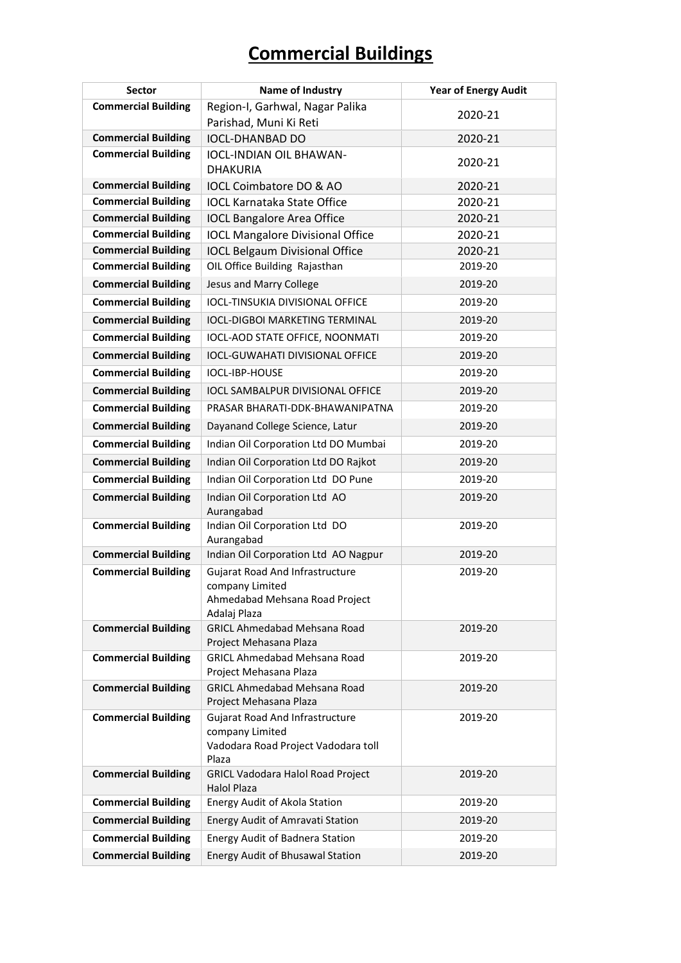| <b>Sector</b>              | Name of Industry                                                                                            | <b>Year of Energy Audit</b> |
|----------------------------|-------------------------------------------------------------------------------------------------------------|-----------------------------|
| <b>Commercial Building</b> | Region-I, Garhwal, Nagar Palika                                                                             | 2020-21                     |
|                            | Parishad, Muni Ki Reti                                                                                      |                             |
| <b>Commercial Building</b> | <b>IOCL-DHANBAD DO</b>                                                                                      | 2020-21                     |
| <b>Commercial Building</b> | <b>IOCL-INDIAN OIL BHAWAN-</b><br><b>DHAKURIA</b>                                                           | 2020-21                     |
| <b>Commercial Building</b> | IOCL Coimbatore DO & AO                                                                                     | 2020-21                     |
| <b>Commercial Building</b> | <b>IOCL Karnataka State Office</b>                                                                          | 2020-21                     |
| <b>Commercial Building</b> | <b>IOCL Bangalore Area Office</b>                                                                           | 2020-21                     |
| <b>Commercial Building</b> | <b>IOCL Mangalore Divisional Office</b>                                                                     | 2020-21                     |
| <b>Commercial Building</b> | <b>IOCL Belgaum Divisional Office</b>                                                                       | 2020-21                     |
| <b>Commercial Building</b> | OIL Office Building Rajasthan                                                                               | 2019-20                     |
| <b>Commercial Building</b> | Jesus and Marry College                                                                                     | 2019-20                     |
| <b>Commercial Building</b> | <b>IOCL-TINSUKIA DIVISIONAL OFFICE</b>                                                                      | 2019-20                     |
| <b>Commercial Building</b> | <b>IOCL-DIGBOI MARKETING TERMINAL</b>                                                                       | 2019-20                     |
| <b>Commercial Building</b> | IOCL-AOD STATE OFFICE, NOONMATI                                                                             | 2019-20                     |
| <b>Commercial Building</b> | <b>IOCL-GUWAHATI DIVISIONAL OFFICE</b>                                                                      | 2019-20                     |
| <b>Commercial Building</b> | IOCL-IBP-HOUSE                                                                                              | 2019-20                     |
| <b>Commercial Building</b> | <b>IOCL SAMBALPUR DIVISIONAL OFFICE</b>                                                                     | 2019-20                     |
| <b>Commercial Building</b> | PRASAR BHARATI-DDK-BHAWANIPATNA                                                                             | 2019-20                     |
| <b>Commercial Building</b> | Dayanand College Science, Latur                                                                             | 2019-20                     |
| <b>Commercial Building</b> | Indian Oil Corporation Ltd DO Mumbai                                                                        | 2019-20                     |
| <b>Commercial Building</b> | Indian Oil Corporation Ltd DO Rajkot                                                                        | 2019-20                     |
| <b>Commercial Building</b> | Indian Oil Corporation Ltd DO Pune                                                                          | 2019-20                     |
| <b>Commercial Building</b> | Indian Oil Corporation Ltd AO<br>Aurangabad                                                                 | 2019-20                     |
| <b>Commercial Building</b> | Indian Oil Corporation Ltd DO<br>Aurangabad                                                                 | 2019-20                     |
| <b>Commercial Building</b> | Indian Oil Corporation Ltd AO Nagpur                                                                        | 2019-20                     |
| <b>Commercial Building</b> | <b>Gujarat Road And Infrastructure</b><br>company Limited<br>Ahmedabad Mehsana Road Project<br>Adalaj Plaza | 2019-20                     |
| <b>Commercial Building</b> | <b>GRICL Ahmedabad Mehsana Road</b><br>Project Mehasana Plaza                                               | 2019-20                     |
| <b>Commercial Building</b> | <b>GRICL Ahmedabad Mehsana Road</b><br>Project Mehasana Plaza                                               | 2019-20                     |
| <b>Commercial Building</b> | <b>GRICL Ahmedabad Mehsana Road</b><br>Project Mehasana Plaza                                               | 2019-20                     |
| <b>Commercial Building</b> | Gujarat Road And Infrastructure<br>company Limited<br>Vadodara Road Project Vadodara toll<br>Plaza          | 2019-20                     |
| <b>Commercial Building</b> | <b>GRICL Vadodara Halol Road Project</b><br><b>Halol Plaza</b>                                              | 2019-20                     |
| <b>Commercial Building</b> | Energy Audit of Akola Station                                                                               | 2019-20                     |
| <b>Commercial Building</b> | Energy Audit of Amravati Station                                                                            | 2019-20                     |
| <b>Commercial Building</b> | Energy Audit of Badnera Station                                                                             | 2019-20                     |
| <b>Commercial Building</b> | Energy Audit of Bhusawal Station                                                                            | 2019-20                     |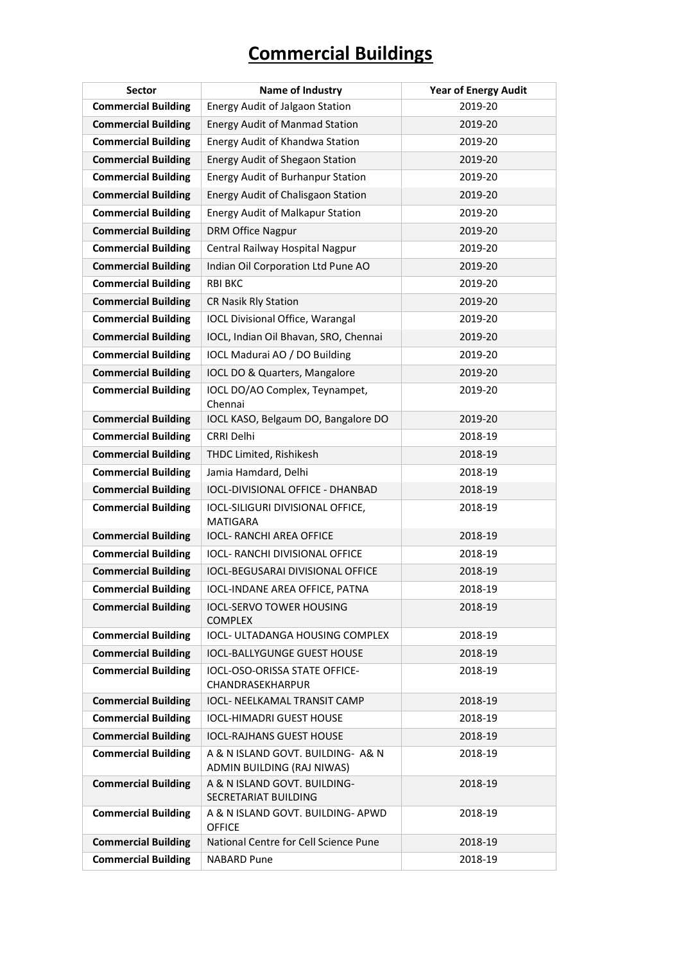| <b>Sector</b>              | Name of Industry                                                | <b>Year of Energy Audit</b> |
|----------------------------|-----------------------------------------------------------------|-----------------------------|
| <b>Commercial Building</b> | Energy Audit of Jalgaon Station                                 | 2019-20                     |
| <b>Commercial Building</b> | <b>Energy Audit of Manmad Station</b>                           | 2019-20                     |
| <b>Commercial Building</b> | Energy Audit of Khandwa Station                                 | 2019-20                     |
| <b>Commercial Building</b> | <b>Energy Audit of Shegaon Station</b>                          | 2019-20                     |
| <b>Commercial Building</b> | <b>Energy Audit of Burhanpur Station</b>                        | 2019-20                     |
| <b>Commercial Building</b> | <b>Energy Audit of Chalisgaon Station</b>                       | 2019-20                     |
| <b>Commercial Building</b> | <b>Energy Audit of Malkapur Station</b>                         | 2019-20                     |
| <b>Commercial Building</b> | DRM Office Nagpur                                               | 2019-20                     |
| <b>Commercial Building</b> | Central Railway Hospital Nagpur                                 | 2019-20                     |
| <b>Commercial Building</b> | Indian Oil Corporation Ltd Pune AO                              | 2019-20                     |
| <b>Commercial Building</b> | <b>RBI BKC</b>                                                  | 2019-20                     |
| <b>Commercial Building</b> | CR Nasik Rly Station                                            | 2019-20                     |
| <b>Commercial Building</b> | <b>IOCL Divisional Office, Warangal</b>                         | 2019-20                     |
| <b>Commercial Building</b> | IOCL, Indian Oil Bhavan, SRO, Chennai                           | 2019-20                     |
| <b>Commercial Building</b> | IOCL Madurai AO / DO Building                                   | 2019-20                     |
| <b>Commercial Building</b> | IOCL DO & Quarters, Mangalore                                   | 2019-20                     |
| <b>Commercial Building</b> | IOCL DO/AO Complex, Teynampet,<br>Chennai                       | 2019-20                     |
| <b>Commercial Building</b> | IOCL KASO, Belgaum DO, Bangalore DO                             | 2019-20                     |
| <b>Commercial Building</b> | <b>CRRI Delhi</b>                                               | 2018-19                     |
| <b>Commercial Building</b> | THDC Limited, Rishikesh                                         | 2018-19                     |
| <b>Commercial Building</b> | Jamia Hamdard, Delhi                                            | 2018-19                     |
| <b>Commercial Building</b> | IOCL-DIVISIONAL OFFICE - DHANBAD                                | 2018-19                     |
| <b>Commercial Building</b> | IOCL-SILIGURI DIVISIONAL OFFICE,<br><b>MATIGARA</b>             | 2018-19                     |
| <b>Commercial Building</b> | <b>IOCL- RANCHI AREA OFFICE</b>                                 | 2018-19                     |
| <b>Commercial Building</b> | IOCL- RANCHI DIVISIONAL OFFICE                                  | 2018-19                     |
| <b>Commercial Building</b> | <b>IOCL-BEGUSARAI DIVISIONAL OFFICE</b>                         | 2018-19                     |
| <b>Commercial Building</b> | IOCL-INDANE AREA OFFICE, PATNA                                  | 2018-19                     |
| <b>Commercial Building</b> | <b>IOCL-SERVO TOWER HOUSING</b><br><b>COMPLEX</b>               | 2018-19                     |
| <b>Commercial Building</b> | IOCL- ULTADANGA HOUSING COMPLEX                                 | 2018-19                     |
| <b>Commercial Building</b> | <b>IOCL-BALLYGUNGE GUEST HOUSE</b>                              | 2018-19                     |
| <b>Commercial Building</b> | IOCL-OSO-ORISSA STATE OFFICE-<br>CHANDRASEKHARPUR               | 2018-19                     |
| <b>Commercial Building</b> | <b>IOCL- NEELKAMAL TRANSIT CAMP</b>                             | 2018-19                     |
| <b>Commercial Building</b> | <b>IOCL-HIMADRI GUEST HOUSE</b>                                 | 2018-19                     |
| <b>Commercial Building</b> | <b>IOCL-RAJHANS GUEST HOUSE</b>                                 | 2018-19                     |
| <b>Commercial Building</b> | A & N ISLAND GOVT. BUILDING- A& N<br>ADMIN BUILDING (RAJ NIWAS) | 2018-19                     |
| <b>Commercial Building</b> | A & N ISLAND GOVT. BUILDING-<br>SECRETARIAT BUILDING            | 2018-19                     |
| <b>Commercial Building</b> | A & N ISLAND GOVT. BUILDING- APWD<br><b>OFFICE</b>              | 2018-19                     |
| <b>Commercial Building</b> | National Centre for Cell Science Pune                           | 2018-19                     |
| <b>Commercial Building</b> | <b>NABARD Pune</b>                                              | 2018-19                     |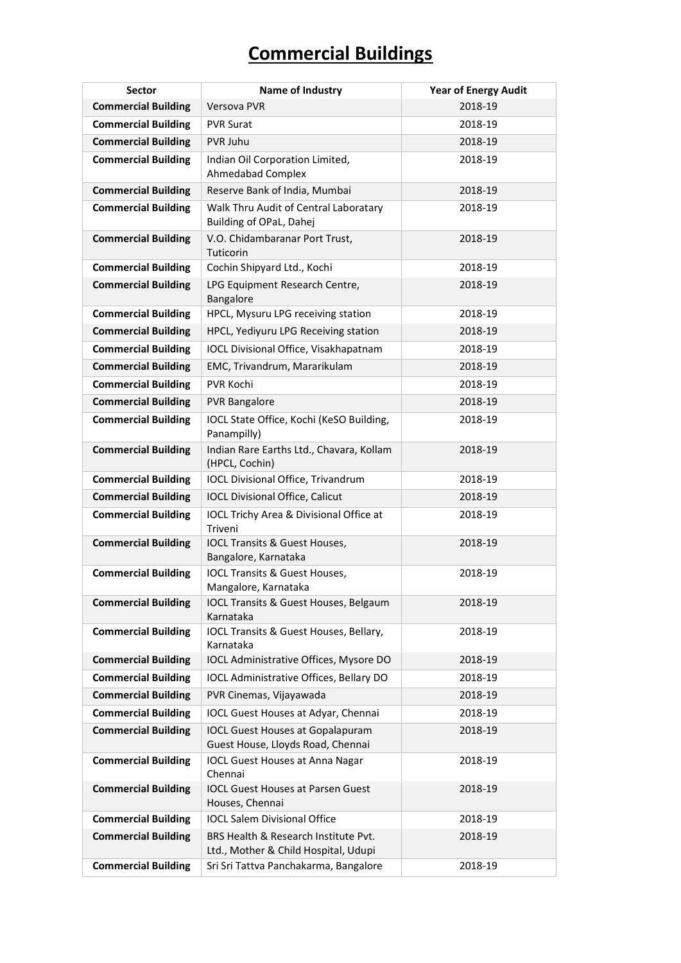| <b>Sector</b>              | Name of Industry                                                             | <b>Year of Energy Audit</b> |
|----------------------------|------------------------------------------------------------------------------|-----------------------------|
| <b>Commercial Building</b> | <b>Versova PVR</b>                                                           | 2018-19                     |
| <b>Commercial Building</b> | <b>PVR Surat</b>                                                             | 2018-19                     |
| <b>Commercial Building</b> | PVR Juhu                                                                     | 2018-19                     |
| <b>Commercial Building</b> | Indian Oil Corporation Limited,<br><b>Ahmedabad Complex</b>                  | 2018-19                     |
| <b>Commercial Building</b> | Reserve Bank of India, Mumbai                                                | 2018-19                     |
| <b>Commercial Building</b> | Walk Thru Audit of Central Laboratary<br>Building of OPaL, Dahej             | 2018-19                     |
| <b>Commercial Building</b> | V.O. Chidambaranar Port Trust,<br>Tuticorin                                  | 2018-19                     |
| <b>Commercial Building</b> | Cochin Shipyard Ltd., Kochi                                                  | 2018-19                     |
| <b>Commercial Building</b> | LPG Equipment Research Centre,<br>Bangalore                                  | 2018-19                     |
| <b>Commercial Building</b> | HPCL, Mysuru LPG receiving station                                           | 2018-19                     |
| <b>Commercial Building</b> | HPCL, Yediyuru LPG Receiving station                                         | 2018-19                     |
| <b>Commercial Building</b> | IOCL Divisional Office, Visakhapatnam                                        | 2018-19                     |
| <b>Commercial Building</b> | EMC, Trivandrum, Mararikulam                                                 | 2018-19                     |
| <b>Commercial Building</b> | <b>PVR Kochi</b>                                                             | 2018-19                     |
| <b>Commercial Building</b> | <b>PVR Bangalore</b>                                                         | 2018-19                     |
| <b>Commercial Building</b> | IOCL State Office, Kochi (KeSO Building,<br>Panampilly)                      | 2018-19                     |
| <b>Commercial Building</b> | Indian Rare Earths Ltd., Chavara, Kollam<br>(HPCL, Cochin)                   | 2018-19                     |
| <b>Commercial Building</b> | IOCL Divisional Office, Trivandrum                                           | 2018-19                     |
| <b>Commercial Building</b> | <b>IOCL Divisional Office, Calicut</b>                                       | 2018-19                     |
| <b>Commercial Building</b> | IOCL Trichy Area & Divisional Office at<br>Triveni                           | 2018-19                     |
| <b>Commercial Building</b> | IOCL Transits & Guest Houses,<br>Bangalore, Karnataka                        | 2018-19                     |
| <b>Commercial Building</b> | <b>IOCL Transits &amp; Guest Houses,</b><br>Mangalore, Karnataka             | 2018-19                     |
| <b>Commercial Building</b> | IOCL Transits & Guest Houses, Belgaum<br>Karnataka                           | 2018-19                     |
| <b>Commercial Building</b> | IOCL Transits & Guest Houses, Bellary,<br>Karnataka                          | 2018-19                     |
| <b>Commercial Building</b> | IOCL Administrative Offices, Mysore DO                                       | 2018-19                     |
| <b>Commercial Building</b> | IOCL Administrative Offices, Bellary DO                                      | 2018-19                     |
| <b>Commercial Building</b> | PVR Cinemas, Vijayawada                                                      | 2018-19                     |
| <b>Commercial Building</b> | IOCL Guest Houses at Adyar, Chennai                                          | 2018-19                     |
| <b>Commercial Building</b> | <b>IOCL Guest Houses at Gopalapuram</b><br>Guest House, Lloyds Road, Chennai | 2018-19                     |
| <b>Commercial Building</b> | <b>IOCL Guest Houses at Anna Nagar</b><br>Chennai                            | 2018-19                     |
| <b>Commercial Building</b> | <b>IOCL Guest Houses at Parsen Guest</b><br>Houses, Chennai                  | 2018-19                     |
| <b>Commercial Building</b> | <b>IOCL Salem Divisional Office</b>                                          | 2018-19                     |
| <b>Commercial Building</b> | BRS Health & Research Institute Pvt.<br>Ltd., Mother & Child Hospital, Udupi | 2018-19                     |
| <b>Commercial Building</b> | Sri Sri Tattva Panchakarma, Bangalore                                        | 2018-19                     |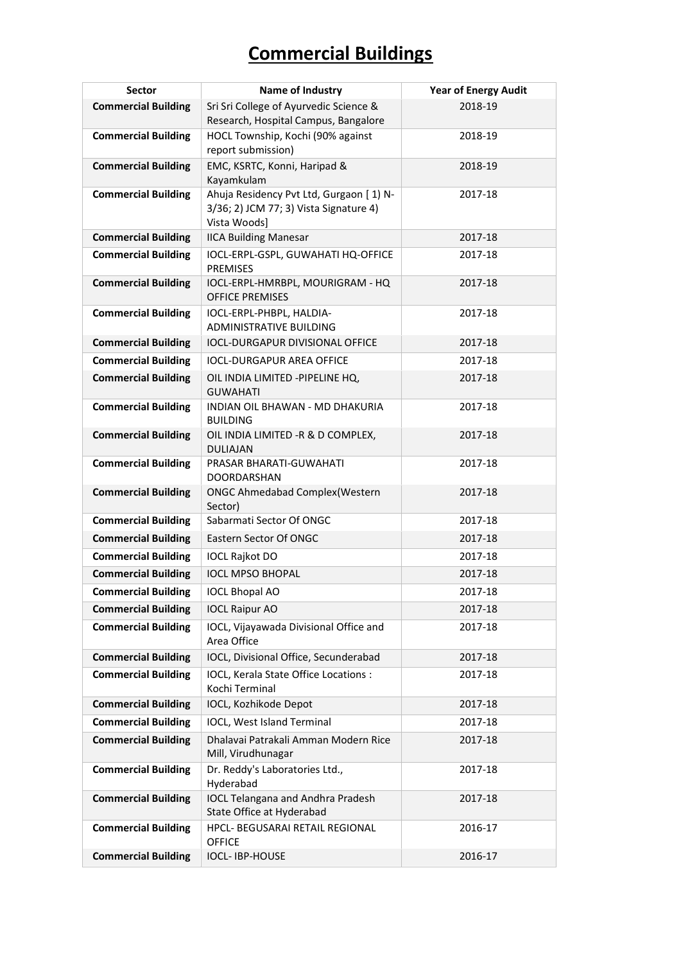| <b>Sector</b>              | Name of Industry                                                      | <b>Year of Energy Audit</b> |
|----------------------------|-----------------------------------------------------------------------|-----------------------------|
| <b>Commercial Building</b> | Sri Sri College of Ayurvedic Science &                                | 2018-19                     |
|                            | Research, Hospital Campus, Bangalore                                  |                             |
| <b>Commercial Building</b> | HOCL Township, Kochi (90% against                                     | 2018-19                     |
|                            | report submission)                                                    |                             |
| <b>Commercial Building</b> | EMC, KSRTC, Konni, Haripad &<br>Kayamkulam                            | 2018-19                     |
| <b>Commercial Building</b> | Ahuja Residency Pvt Ltd, Gurgaon [1) N-                               | 2017-18                     |
|                            | 3/36; 2) JCM 77; 3) Vista Signature 4)                                |                             |
|                            | Vista Woods]                                                          |                             |
| <b>Commercial Building</b> | <b>IICA Building Manesar</b>                                          | 2017-18                     |
| <b>Commercial Building</b> | IOCL-ERPL-GSPL, GUWAHATI HQ-OFFICE<br><b>PREMISES</b>                 | 2017-18                     |
| <b>Commercial Building</b> | IOCL-ERPL-HMRBPL, MOURIGRAM - HQ<br><b>OFFICE PREMISES</b>            | 2017-18                     |
| <b>Commercial Building</b> | IOCL-ERPL-PHBPL, HALDIA-                                              | 2017-18                     |
|                            | <b>ADMINISTRATIVE BUILDING</b>                                        |                             |
| <b>Commercial Building</b> | <b>IOCL-DURGAPUR DIVISIONAL OFFICE</b>                                | 2017-18                     |
| <b>Commercial Building</b> | <b>IOCL-DURGAPUR AREA OFFICE</b>                                      | 2017-18                     |
| <b>Commercial Building</b> | OIL INDIA LIMITED -PIPELINE HQ,<br><b>GUWAHATI</b>                    | 2017-18                     |
| <b>Commercial Building</b> | INDIAN OIL BHAWAN - MD DHAKURIA<br><b>BUILDING</b>                    | 2017-18                     |
| <b>Commercial Building</b> | OIL INDIA LIMITED -R & D COMPLEX,<br><b>DULIAJAN</b>                  | 2017-18                     |
| <b>Commercial Building</b> | PRASAR BHARATI-GUWAHATI<br><b>DOORDARSHAN</b>                         | 2017-18                     |
| <b>Commercial Building</b> | <b>ONGC Ahmedabad Complex (Western</b><br>Sector)                     | 2017-18                     |
| <b>Commercial Building</b> | Sabarmati Sector Of ONGC                                              | 2017-18                     |
| <b>Commercial Building</b> | Eastern Sector Of ONGC                                                | 2017-18                     |
| <b>Commercial Building</b> | <b>IOCL Rajkot DO</b>                                                 | 2017-18                     |
| <b>Commercial Building</b> | <b>IOCL MPSO BHOPAL</b>                                               | 2017-18                     |
| <b>Commercial Building</b> | <b>IOCL Bhopal AO</b>                                                 | 2017-18                     |
| <b>Commercial Building</b> | <b>IOCL Raipur AO</b>                                                 | 2017-18                     |
| <b>Commercial Building</b> | IOCL, Vijayawada Divisional Office and<br>Area Office                 | 2017-18                     |
| <b>Commercial Building</b> | IOCL, Divisional Office, Secunderabad                                 | 2017-18                     |
| <b>Commercial Building</b> | IOCL, Kerala State Office Locations :<br>Kochi Terminal               | 2017-18                     |
| <b>Commercial Building</b> | IOCL, Kozhikode Depot                                                 | 2017-18                     |
| <b>Commercial Building</b> | IOCL, West Island Terminal                                            | 2017-18                     |
| <b>Commercial Building</b> | Dhalavai Patrakali Amman Modern Rice<br>Mill, Virudhunagar            | 2017-18                     |
| <b>Commercial Building</b> | Dr. Reddy's Laboratories Ltd.,<br>Hyderabad                           | 2017-18                     |
| <b>Commercial Building</b> | <b>IOCL Telangana and Andhra Pradesh</b><br>State Office at Hyderabad | 2017-18                     |
| <b>Commercial Building</b> | <b>HPCL- BEGUSARAI RETAIL REGIONAL</b><br><b>OFFICE</b>               | 2016-17                     |
| <b>Commercial Building</b> | <b>IOCL-IBP-HOUSE</b>                                                 | 2016-17                     |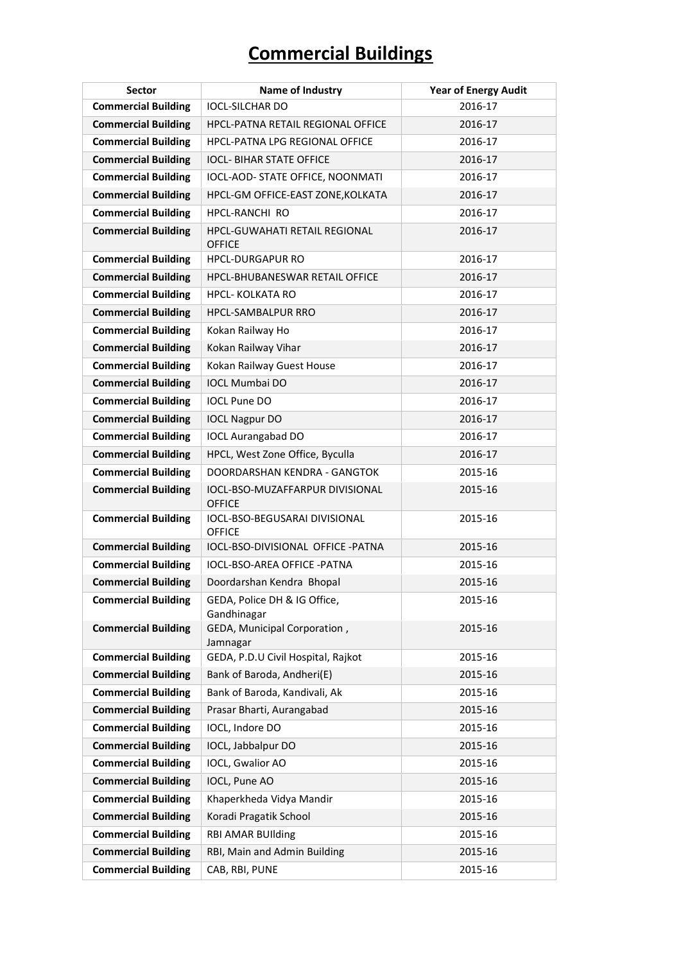| <b>Sector</b>              | Name of Industry                                 | <b>Year of Energy Audit</b> |
|----------------------------|--------------------------------------------------|-----------------------------|
| <b>Commercial Building</b> | <b>IOCL-SILCHAR DO</b>                           | 2016-17                     |
| <b>Commercial Building</b> | <b>HPCL-PATNA RETAIL REGIONAL OFFICE</b>         | 2016-17                     |
| <b>Commercial Building</b> | HPCL-PATNA LPG REGIONAL OFFICE                   | 2016-17                     |
| <b>Commercial Building</b> | <b>IOCL- BIHAR STATE OFFICE</b>                  | 2016-17                     |
| <b>Commercial Building</b> | IOCL-AOD- STATE OFFICE, NOONMATI                 | 2016-17                     |
| <b>Commercial Building</b> | HPCL-GM OFFICE-EAST ZONE, KOLKATA                | 2016-17                     |
| <b>Commercial Building</b> | <b>HPCL-RANCHI RO</b>                            | 2016-17                     |
| <b>Commercial Building</b> | HPCL-GUWAHATI RETAIL REGIONAL<br><b>OFFICE</b>   | 2016-17                     |
| <b>Commercial Building</b> | <b>HPCL-DURGAPUR RO</b>                          | 2016-17                     |
| <b>Commercial Building</b> | <b>HPCL-BHUBANESWAR RETAIL OFFICE</b>            | 2016-17                     |
| <b>Commercial Building</b> | <b>HPCL- KOLKATA RO</b>                          | 2016-17                     |
| <b>Commercial Building</b> | <b>HPCL-SAMBALPUR RRO</b>                        | 2016-17                     |
| <b>Commercial Building</b> | Kokan Railway Ho                                 | 2016-17                     |
| <b>Commercial Building</b> | Kokan Railway Vihar                              | 2016-17                     |
| <b>Commercial Building</b> | Kokan Railway Guest House                        | 2016-17                     |
| <b>Commercial Building</b> | <b>IOCL Mumbai DO</b>                            | 2016-17                     |
| <b>Commercial Building</b> | <b>IOCL Pune DO</b>                              | 2016-17                     |
| <b>Commercial Building</b> | <b>IOCL Nagpur DO</b>                            | 2016-17                     |
| <b>Commercial Building</b> | <b>IOCL Aurangabad DO</b>                        | 2016-17                     |
| <b>Commercial Building</b> | HPCL, West Zone Office, Byculla                  | 2016-17                     |
| <b>Commercial Building</b> | DOORDARSHAN KENDRA - GANGTOK                     | 2015-16                     |
| <b>Commercial Building</b> | IOCL-BSO-MUZAFFARPUR DIVISIONAL<br><b>OFFICE</b> | 2015-16                     |
| <b>Commercial Building</b> | IOCL-BSO-BEGUSARAI DIVISIONAL<br><b>OFFICE</b>   | 2015-16                     |
| <b>Commercial Building</b> | IOCL-BSO-DIVISIONAL OFFICE -PATNA                | 2015-16                     |
| <b>Commercial Building</b> | <b>IOCL-BSO-AREA OFFICE -PATNA</b>               | 2015-16                     |
| <b>Commercial Building</b> | Doordarshan Kendra Bhopal                        | 2015-16                     |
| <b>Commercial Building</b> | GEDA, Police DH & IG Office,<br>Gandhinagar      | 2015-16                     |
| <b>Commercial Building</b> | GEDA, Municipal Corporation,<br>Jamnagar         | 2015-16                     |
| <b>Commercial Building</b> | GEDA, P.D.U Civil Hospital, Rajkot               | 2015-16                     |
| <b>Commercial Building</b> | Bank of Baroda, Andheri(E)                       | 2015-16                     |
| <b>Commercial Building</b> | Bank of Baroda, Kandivali, Ak                    | 2015-16                     |
| <b>Commercial Building</b> | Prasar Bharti, Aurangabad                        | 2015-16                     |
| <b>Commercial Building</b> | IOCL, Indore DO                                  | 2015-16                     |
| <b>Commercial Building</b> | IOCL, Jabbalpur DO                               | 2015-16                     |
| <b>Commercial Building</b> | IOCL, Gwalior AO                                 | 2015-16                     |
| <b>Commercial Building</b> | IOCL, Pune AO                                    | 2015-16                     |
| <b>Commercial Building</b> | Khaperkheda Vidya Mandir                         | 2015-16                     |
| <b>Commercial Building</b> | Koradi Pragatik School                           | 2015-16                     |
| <b>Commercial Building</b> | <b>RBI AMAR BUIlding</b>                         | 2015-16                     |
| <b>Commercial Building</b> | RBI, Main and Admin Building                     | 2015-16                     |
| <b>Commercial Building</b> | CAB, RBI, PUNE                                   | 2015-16                     |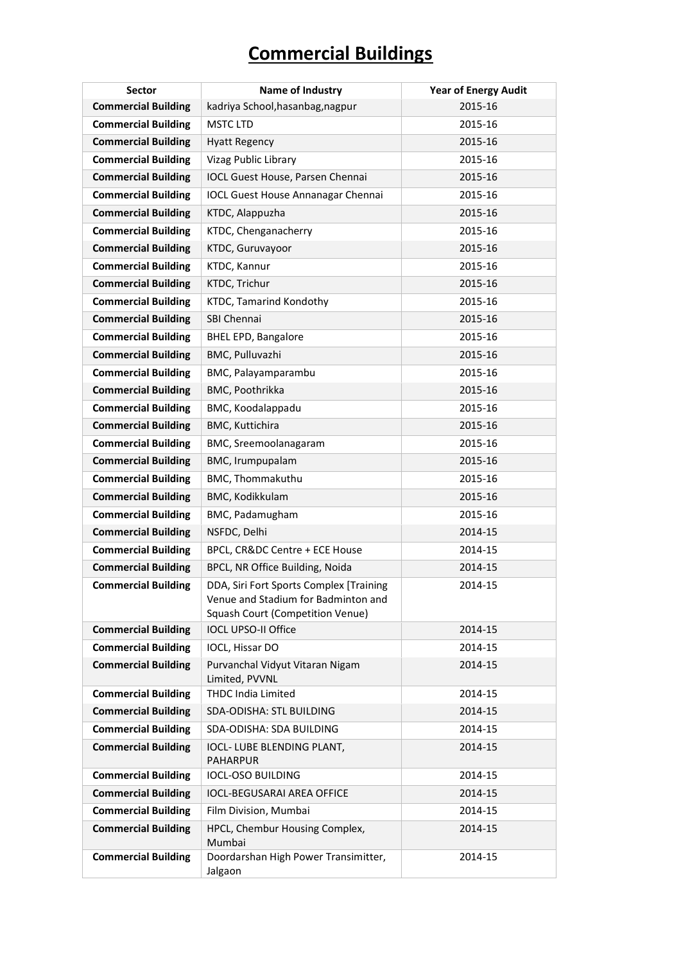| <b>Sector</b>              | Name of Industry                                                                                                          | <b>Year of Energy Audit</b> |
|----------------------------|---------------------------------------------------------------------------------------------------------------------------|-----------------------------|
| <b>Commercial Building</b> | kadriya School, hasanbag, nagpur                                                                                          | 2015-16                     |
| <b>Commercial Building</b> | <b>MSTC LTD</b>                                                                                                           | 2015-16                     |
| <b>Commercial Building</b> | <b>Hyatt Regency</b>                                                                                                      | 2015-16                     |
| <b>Commercial Building</b> | <b>Vizag Public Library</b>                                                                                               | 2015-16                     |
| <b>Commercial Building</b> | IOCL Guest House, Parsen Chennai                                                                                          | 2015-16                     |
| <b>Commercial Building</b> | <b>IOCL Guest House Annanagar Chennai</b>                                                                                 | 2015-16                     |
| <b>Commercial Building</b> | KTDC, Alappuzha                                                                                                           | 2015-16                     |
| <b>Commercial Building</b> | KTDC, Chenganacherry                                                                                                      | 2015-16                     |
| <b>Commercial Building</b> | KTDC, Guruvayoor                                                                                                          | 2015-16                     |
| <b>Commercial Building</b> | KTDC, Kannur                                                                                                              | 2015-16                     |
| <b>Commercial Building</b> | KTDC, Trichur                                                                                                             | 2015-16                     |
| <b>Commercial Building</b> | KTDC, Tamarind Kondothy                                                                                                   | 2015-16                     |
| <b>Commercial Building</b> | SBI Chennai                                                                                                               | 2015-16                     |
| <b>Commercial Building</b> | <b>BHEL EPD, Bangalore</b>                                                                                                | 2015-16                     |
| <b>Commercial Building</b> | BMC, Pulluvazhi                                                                                                           | 2015-16                     |
| <b>Commercial Building</b> | BMC, Palayamparambu                                                                                                       | 2015-16                     |
| <b>Commercial Building</b> | BMC, Poothrikka                                                                                                           | 2015-16                     |
| <b>Commercial Building</b> | BMC, Koodalappadu                                                                                                         | 2015-16                     |
| <b>Commercial Building</b> | BMC, Kuttichira                                                                                                           | 2015-16                     |
| <b>Commercial Building</b> | BMC, Sreemoolanagaram                                                                                                     | 2015-16                     |
| <b>Commercial Building</b> | BMC, Irumpupalam                                                                                                          | 2015-16                     |
| <b>Commercial Building</b> | BMC, Thommakuthu                                                                                                          | 2015-16                     |
| <b>Commercial Building</b> | BMC, Kodikkulam                                                                                                           | 2015-16                     |
| <b>Commercial Building</b> | BMC, Padamugham                                                                                                           | 2015-16                     |
| <b>Commercial Building</b> | NSFDC, Delhi                                                                                                              | 2014-15                     |
| <b>Commercial Building</b> | BPCL, CR&DC Centre + ECE House                                                                                            | 2014-15                     |
| <b>Commercial Building</b> | BPCL, NR Office Building, Noida                                                                                           | 2014-15                     |
| <b>Commercial Building</b> | DDA, Siri Fort Sports Complex [Training<br>Venue and Stadium for Badminton and<br><b>Squash Court (Competition Venue)</b> | 2014-15                     |
| <b>Commercial Building</b> | <b>IOCL UPSO-II Office</b>                                                                                                | 2014-15                     |
| <b>Commercial Building</b> | IOCL, Hissar DO                                                                                                           | 2014-15                     |
| <b>Commercial Building</b> | Purvanchal Vidyut Vitaran Nigam<br>Limited, PVVNL                                                                         | 2014-15                     |
| <b>Commercial Building</b> | <b>THDC India Limited</b>                                                                                                 | 2014-15                     |
| <b>Commercial Building</b> | SDA-ODISHA: STL BUILDING                                                                                                  | 2014-15                     |
| <b>Commercial Building</b> | SDA-ODISHA: SDA BUILDING                                                                                                  | 2014-15                     |
| <b>Commercial Building</b> | IOCL- LUBE BLENDING PLANT,<br><b>PAHARPUR</b>                                                                             | 2014-15                     |
| <b>Commercial Building</b> | <b>IOCL-OSO BUILDING</b>                                                                                                  | 2014-15                     |
| <b>Commercial Building</b> | <b>IOCL-BEGUSARAI AREA OFFICE</b>                                                                                         | 2014-15                     |
| <b>Commercial Building</b> | Film Division, Mumbai                                                                                                     | 2014-15                     |
| <b>Commercial Building</b> | HPCL, Chembur Housing Complex,<br>Mumbai                                                                                  | 2014-15                     |
| <b>Commercial Building</b> | Doordarshan High Power Transimitter,<br>Jalgaon                                                                           | 2014-15                     |